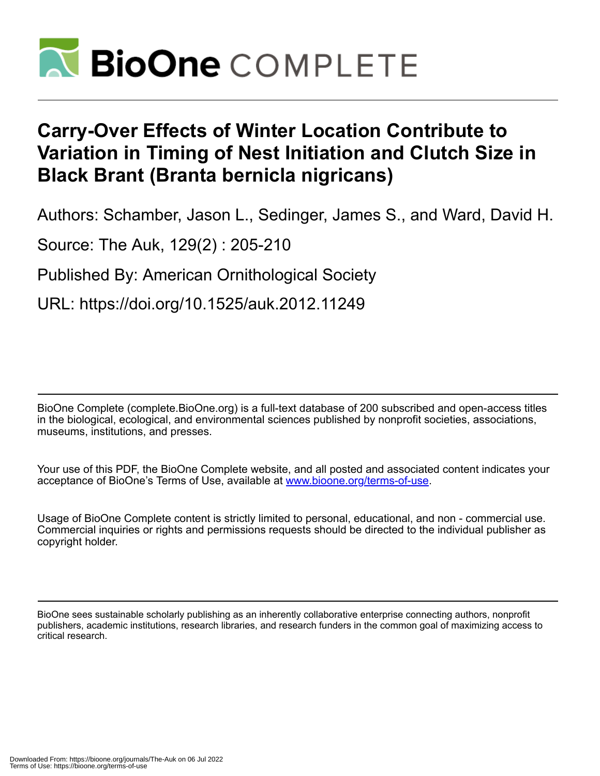

# **Carry-Over Effects of Winter Location Contribute to Variation in Timing of Nest Initiation and Clutch Size in Black Brant (Branta bernicla nigricans)**

Authors: Schamber, Jason L., Sedinger, James S., and Ward, David H.

Source: The Auk, 129(2) : 205-210

Published By: American Ornithological Society

URL: https://doi.org/10.1525/auk.2012.11249

BioOne Complete (complete.BioOne.org) is a full-text database of 200 subscribed and open-access titles in the biological, ecological, and environmental sciences published by nonprofit societies, associations, museums, institutions, and presses.

Your use of this PDF, the BioOne Complete website, and all posted and associated content indicates your acceptance of BioOne's Terms of Use, available at www.bioone.org/terms-of-use.

Usage of BioOne Complete content is strictly limited to personal, educational, and non - commercial use. Commercial inquiries or rights and permissions requests should be directed to the individual publisher as copyright holder.

BioOne sees sustainable scholarly publishing as an inherently collaborative enterprise connecting authors, nonprofit publishers, academic institutions, research libraries, and research funders in the common goal of maximizing access to critical research.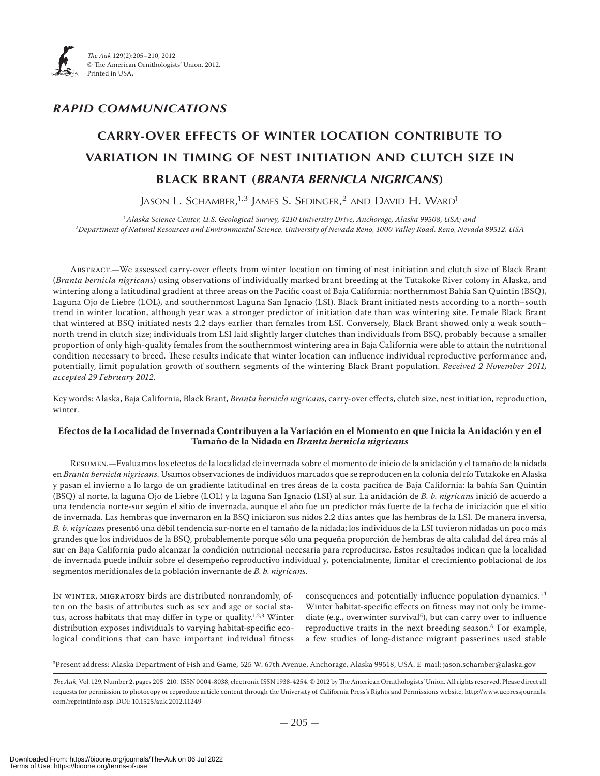

### *RAPID COMMUNICATIONS*

## **CARRY-OVER EFFECTS OF WINTER LOCATION CONTRIBUTE TO VARIATION IN TIMING OF NEST INITIATION AND CLUTCH SIZE IN BLACK BRANT (***BRANTA BERNICLA NIGRICANS***)**

Jason L. Schamber, $^{1,3}$  James S. Sedinger, $^{2}$  and David H. Ward<sup>1</sup>

<sup>1</sup>*Alaska Science Center, U.S. Geological Survey, 4210 University Drive, Anchorage, Alaska 99508, USA; and* <sup>2</sup>*Department of Natural Resources and Environmental Science, University of Nevada Reno, 1000 Valley Road, Reno, Nevada 89512, USA*

Abstract.—We assessed carry-over effects from winter location on timing of nest initiation and clutch size of Black Brant (*Branta bernicla nigricans*) using observations of individually marked brant breeding at the Tutakoke River colony in Alaska, and wintering along a latitudinal gradient at three areas on the Pacific coast of Baja California: northernmost Bahia San Quintin (BSQ), Laguna Ojo de Liebre (LOL), and southernmost Laguna San Ignacio (LSI). Black Brant initiated nests according to a north–south trend in winter location, although year was a stronger predictor of initiation date than was wintering site. Female Black Brant that wintered at BSQ initiated nests 2.2 days earlier than females from LSI. Conversely, Black Brant showed only a weak south– north trend in clutch size; individuals from LSI laid slightly larger clutches than individuals from BSQ, probably because a smaller proportion of only high-quality females from the southernmost wintering area in Baja California were able to attain the nutritional condition necessary to breed. These results indicate that winter location can influence individual reproductive performance and, potentially, limit population growth of southern segments of the wintering Black Brant population. *Received 2 November 2011*, accepted 29 February 2012.

Key words: Alaska, Baja California, Black Brant, *Branta bernicla nigricans*, carry-over effects, clutch size, nest initiation, reproduction, winter.

#### **Efectos de la Localidad de Invernada Contribuyen a la Variación en el Momento en que Inicia la Anidación y en el Tamaño de la Nidada en** *Branta bernicla nigricans*

Resumen.—Evaluamos los efectos de la localidad de invernada sobre el momento de inicio de la anidación y el tamaño de la nidada en *Branta bernicla nigricans.* Usamos observaciones de individuos marcados que se reproducen en la colonia del río Tutakoke en Alaska y pasan el invierno a lo largo de un gradiente latitudinal en tres áreas de la costa pacífica de Baja California: la bahía San Quintin (BSQ) al norte, la laguna Ojo de Liebre (LOL) y la laguna San Ignacio (LSI) al sur. La anidación de *B. b. nigricans* inició de acuerdo a una tendencia norte-sur según el sitio de invernada, aunque el año fue un predictor más fuerte de la fecha de iniciación que el sitio de invernada. Las hembras que invernaron en la BSQ iniciaron sus nidos 2.2 días antes que las hembras de la LSI. De manera inversa, *B. b. nigricans* presentó una débil tendencia sur-norte en el tamaño de la nidada; los individuos de la LSI tuvieron nidadas un poco más grandes que los individuos de la BSQ, probablemente porque sólo una pequeña proporción de hembras de alta calidad del área más al sur en Baja California pudo alcanzar la condición nutricional necesaria para reproducirse. Estos resultados indican que la localidad de invernada puede influir sobre el desempeño reproductivo individual y, potencialmente, limitar el crecimiento poblacional de los segmentos meridionales de la población invernante de *B. b. nigricans*.

In winter, migratory birds are distributed nonrandomly, often on the basis of attributes such as sex and age or social status, across habitats that may differ in type or quality.<sup>1,2,3</sup> Winter distribution exposes individuals to varying habitat-specific ecological conditions that can have important individual fitness

consequences and potentially influence population dynamics.<sup>1,4</sup> Winter habitat-specific effects on fitness may not only be immediate (e.g., overwinter survival<sup>5</sup>), but can carry over to influence reproductive traits in the next breeding season.<sup>6</sup> For example, a few studies of long-distance migrant passerines used stable

3Present address: Alaska Department of Fish and Game, 525 W. 67th Avenue, Anchorage, Alaska 99518, USA. E-mail: jason.schamber@alaska.gov

The Auk, Vol. 129, Number 2, pages 205-210. ISSN 0004-8038, electronic ISSN 1938-4254. © 2012 by The American Ornithologists' Union. All rights reserved. Please direct all requests for permission to photocopy or reproduce article content through the University of California Press's Rights and Permissions website, http://www.ucpressjournals. com/reprintInfo.asp. DOI: 10.1525/auk.2012.11249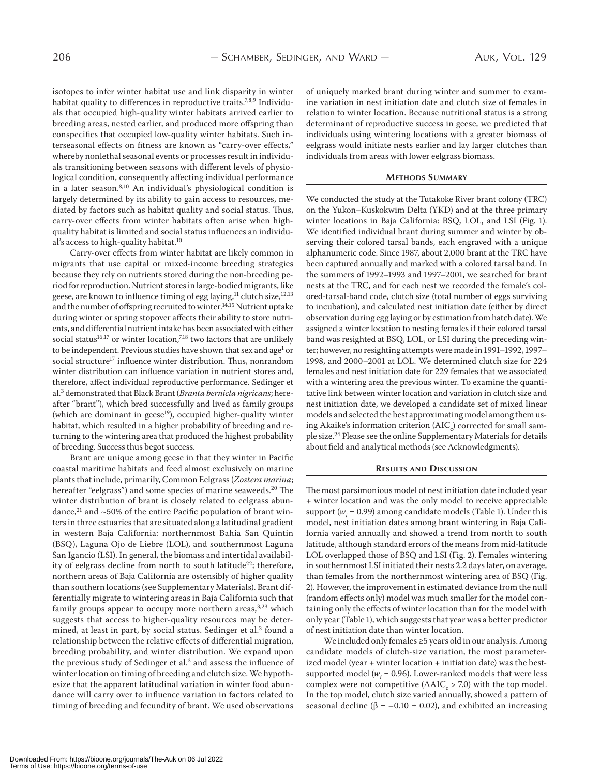isotopes to infer winter habitat use and link disparity in winter habitat quality to differences in reproductive traits.<sup>7,8,9</sup> Individuals that occupied high-quality winter habitats arrived earlier to breeding areas, nested earlier, and produced more offspring than conspecifics that occupied low-quality winter habitats. Such interseasonal effects on fitness are known as "carry-over effects," whereby nonlethal seasonal events or processes result in individuals transitioning between seasons with different levels of physiological condition, consequently affecting individual performance in a later season.<sup>8,10</sup> An individual's physiological condition is largely determined by its ability to gain access to resources, mediated by factors such as habitat quality and social status. Thus, carry-over effects from winter habitats often arise when highquality habitat is limited and social status influences an individual's access to high-quality habitat.<sup>10</sup>

Carry-over effects from winter habitat are likely common in migrants that use capital or mixed-income breeding strategies because they rely on nutrients stored during the non-breeding period for reproduction. Nutrient stores in large-bodied migrants, like geese, are known to influence timing of egg laying,<sup>11</sup> clutch size,<sup>12,13</sup> and the number of offspring recruited to winter.<sup>14,15</sup> Nutrient uptake during winter or spring stopover affects their ability to store nutrients, and differential nutrient intake has been associated with either social status<sup>16,17</sup> or winter location,<sup>7,18</sup> two factors that are unlikely to be independent. Previous studies have shown that sex and age<sup>1</sup> or social structure<sup>17</sup> influence winter distribution. Thus, nonrandom winter distribution can influence variation in nutrient stores and, therefore, affect individual reproductive performance. Sedinger et al. demonstrated that Black Brant (*Branta bernicla nigricans*; hereafter "brant"), which bred successfully and lived as family groups (which are dominant in geese<sup>19</sup>), occupied higher-quality winter habitat, which resulted in a higher probability of breeding and returning to the wintering area that produced the highest probability of breeding. Success thus begot success.

Brant are unique among geese in that they winter in Pacific coastal maritime habitats and feed almost exclusively on marine plants that include, primarily, Common Eelgrass (*Zostera marina*; hereafter "eelgrass") and some species of marine seaweeds.<sup>20</sup> The winter distribution of brant is closely related to eelgrass abundance, $^{21}$  and  $\sim$  50% of the entire Pacific population of brant winters in three estuaries that are situated along a latitudinal gradient in western Baja California: northernmost Bahia San Quintin (BSQ), Laguna Ojo de Liebre (LOL), and southernmost Laguna San Igancio (LSI). In general, the biomass and intertidal availability of eelgrass decline from north to south latitude<sup>22</sup>; therefore, northern areas of Baja California are ostensibly of higher quality than southern locations (see Supplementary Materials). Brant differentially migrate to wintering areas in Baja California such that family groups appear to occupy more northern areas, $3,23$  which suggests that access to higher-quality resources may be determined, at least in part, by social status. Sedinger et al.<sup>3</sup> found a relationship between the relative effects of differential migration, breeding probability, and winter distribution. We expand upon the previous study of Sedinger et al.<sup>3</sup> and assess the influence of winter location on timing of breeding and clutch size. We hypothesize that the apparent latitudinal variation in winter food abundance will carry over to influence variation in factors related to timing of breeding and fecundity of brant. We used observations of uniquely marked brant during winter and summer to examine variation in nest initiation date and clutch size of females in relation to winter location. Because nutritional status is a strong determinant of reproductive success in geese, we predicted that individuals using wintering locations with a greater biomass of eelgrass would initiate nests earlier and lay larger clutches than individuals from areas with lower eelgrass biomass.

#### **METHODS SUMMARY**

We conducted the study at the Tutakoke River brant colony (TRC) on the Yukon–Kuskokwim Delta (YKD) and at the three primary winter locations in Baja California: BSQ, LOL, and LSI (Fig. ). We identified individual brant during summer and winter by observing their colored tarsal bands, each engraved with a unique alphanumeric code. Since 1987, about 2,000 brant at the TRC have been captured annually and marked with a colored tarsal band. In the summers of 1992-1993 and 1997-2001, we searched for brant nests at the TRC, and for each nest we recorded the female's colored-tarsal-band code, clutch size (total number of eggs surviving to incubation), and calculated nest initiation date (either by direct observation during egg laying or by estimation from hatch date). We assigned a winter location to nesting females if their colored tarsal band was resighted at BSQ, LOL, or LSI during the preceding winter; however, no resighting attempts were made in 1991-1992, 1997-1998, and 2000-2001 at LOL. We determined clutch size for 224 females and nest initiation date for 229 females that we associated with a wintering area the previous winter. To examine the quantitative link between winter location and variation in clutch size and nest initiation date, we developed a candidate set of mixed linear models and selected the best approximating model among them using Akaike's information criterion (AIC $_{\rm c}$ ) corrected for small sample size.<sup>24</sup> Please see the online Supplementary Materials for details about field and analytical methods (see Acknowledgments).

#### **RESULTS AND DISCUSSION**

The most parsimonious model of nest initiation date included year + winter location and was the only model to receive appreciable support ( $w_i$  = 0.99) among candidate models (Table 1). Under this model, nest initiation dates among brant wintering in Baja California varied annually and showed a trend from north to south latitude, although standard errors of the means from mid-latitude LOL overlapped those of BSQ and LSI (Fig. 2). Females wintering in southernmost LSI initiated their nests 2.2 days later, on average, than females from the northernmost wintering area of BSQ (Fig. ). However, the improvement in estimated deviance from the null (random effects only) model was much smaller for the model containing only the effects of winter location than for the model with only year (Table ), which suggests that year was a better predictor of nest initiation date than winter location.

We included only females  $\geq$ 5 years old in our analysis. Among candidate models of clutch-size variation, the most parameterized model (year + winter location + initiation date) was the bestsupported model ( $w_i$  = 0.96). Lower-ranked models that were less complex were not competitive ( $\Delta AIC_c > 7.0$ ) with the top model. In the top model, clutch size varied annually, showed a pattern of seasonal decline ( $\beta$  = -0.10 ± 0.02), and exhibited an increasing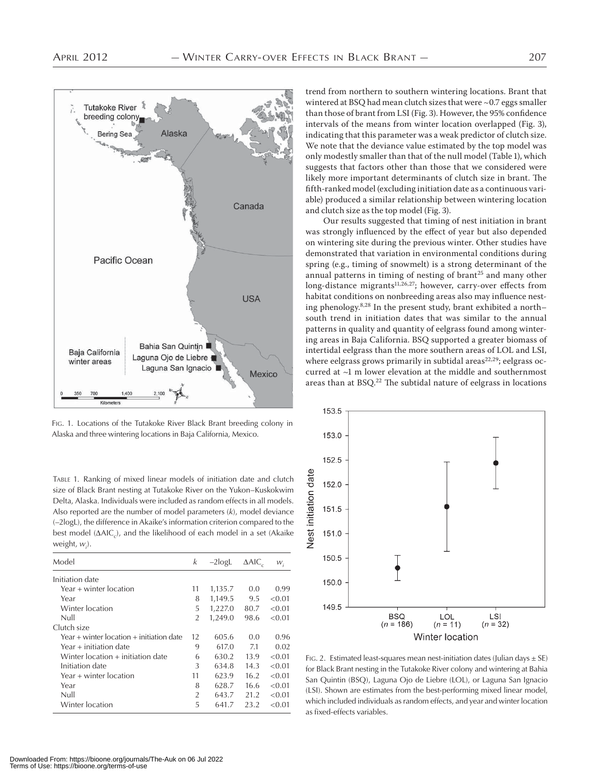

FIG. 1. Locations of the Tutakoke River Black Brant breeding colony in Alaska and three wintering locations in Baja California, Mexico.

TABLE 1. Ranking of mixed linear models of initiation date and clutch size of Black Brant nesting at Tutakoke River on the Yukon–Kuskokwim Delta, Alaska. Individuals were included as random effects in all models. Also reported are the number of model parameters (*k*), model deviance (–2logL), the difference in Akaike's information criterion compared to the best model  $(\Delta AIC_c)$ , and the likelihood of each model in a set (Akaike weight, *wi* ).

| Model                                    | k              | $-2$ logL | $\triangle$ AIC | $W_i$  |
|------------------------------------------|----------------|-----------|-----------------|--------|
| Initiation date                          |                |           |                 |        |
| Year + winter location                   | 11             | 1,135.7   | 0.0             | 0.99   |
| Year                                     | 8              | 1,149.5   | 9.5             | < 0.01 |
| Winter location                          | 5              | 1,227.0   | 80.7            | < 0.01 |
| Null                                     | $\overline{2}$ | 1,249.0   | 98.6            | < 0.01 |
| Clutch size                              |                |           |                 |        |
| Year + winter location + initiation date | 12             | 605.6     | 0.0             | 0.96   |
| Year + initiation date                   | 9              | 617.0     | 7.1             | 0.02   |
| Winter location + initiation date        | 6              | 630.2     | 13.9            | < 0.01 |
| Initiation date                          | 3              | 634.8     | 14.3            | < 0.01 |
| Year + winter location                   | 11             | 623.9     | 16.2            | < 0.01 |
| Year                                     | 8              | 628.7     | 16.6            | < 0.01 |
| Null                                     | $\overline{2}$ | 643.7     | 21.2            | < 0.01 |
| Winter location                          | 5              | 641.7     | 23.2            | < 0.01 |

trend from northern to southern wintering locations. Brant that wintered at BSQ had mean clutch sizes that were  $\sim$  0.7 eggs smaller than those of brant from LSI (Fig. 3). However, the 95% confidence intervals of the means from winter location overlapped (Fig. 3), indicating that this parameter was a weak predictor of clutch size. We note that the deviance value estimated by the top model was only modestly smaller than that of the null model (Table ), which suggests that factors other than those that we considered were likely more important determinants of clutch size in brant. The fifth-ranked model (excluding initiation date as a continuous variable) produced a similar relationship between wintering location and clutch size as the top model (Fig. 3).

Our results suggested that timing of nest initiation in brant was strongly influenced by the effect of year but also depended on wintering site during the previous winter. Other studies have demonstrated that variation in environmental conditions during spring (e.g., timing of snowmelt) is a strong determinant of the annual patterns in timing of nesting of brant<sup>25</sup> and many other long-distance migrants<sup>11,26,27</sup>; however, carry-over effects from habitat conditions on nonbreeding areas also may influence nesting phenology.<sup>8,28</sup> In the present study, brant exhibited a northsouth trend in initiation dates that was similar to the annual patterns in quality and quantity of eelgrass found among wintering areas in Baja California. BSQ supported a greater biomass of intertidal eelgrass than the more southern areas of LOL and LSI, where eelgrass grows primarily in subtidal areas<sup>22,29</sup>; eelgrass occurred at  $~1$  m lower elevation at the middle and southernmost areas than at  $BSQ<sup>22</sup>$  The subtidal nature of eelgrass in locations



FIG. 2. Estimated least-squares mean nest-initiation dates (Julian days  $\pm$  SE) for Black Brant nesting in the Tutakoke River colony and wintering at Bahia San Quintin (BSQ), Laguna Ojo de Liebre (LOL), or Laguna San Ignacio (LSI). Shown are estimates from the best-performing mixed linear model, which included individuals as random effects, and year and winter location as fixed-effects variables.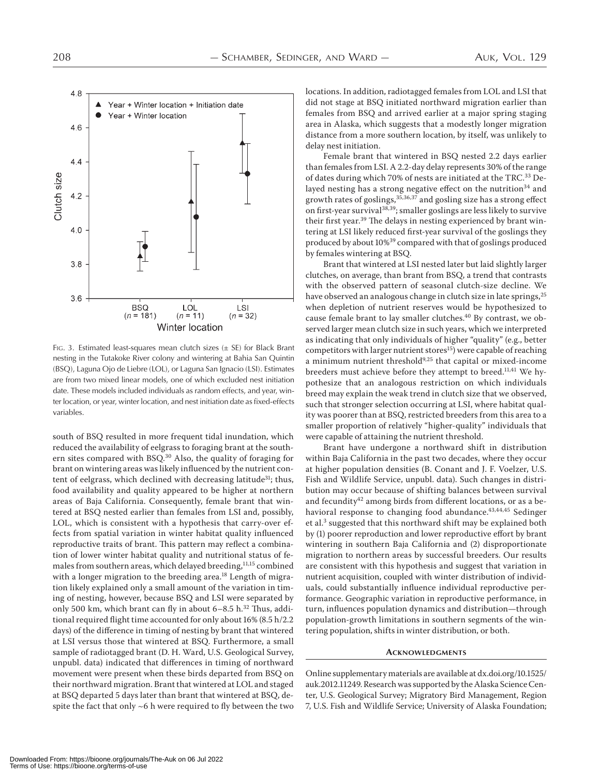

FIG. 3. Estimated least-squares mean clutch sizes  $(\pm S\mathsf{E})$  for Black Brant nesting in the Tutakoke River colony and wintering at Bahia San Quintin (BSQ), Laguna Ojo de Liebre (LOL), or Laguna San Ignacio (LSI). Estimates are from two mixed linear models, one of which excluded nest initiation date. These models included individuals as random effects, and year, winter location, or year, winter location, and nest initiation date as fixed-effects variables.

south of BSQ resulted in more frequent tidal inundation, which reduced the availability of eelgrass to foraging brant at the southern sites compared with BSQ.<sup>30</sup> Also, the quality of foraging for brant on wintering areas was likely influenced by the nutrient content of eelgrass, which declined with decreasing latitude<sup>31</sup>; thus, food availability and quality appeared to be higher at northern areas of Baja California. Consequently, female brant that wintered at BSQ nested earlier than females from LSI and, possibly, LOL, which is consistent with a hypothesis that carry-over effects from spatial variation in winter habitat quality influenced reproductive traits of brant. This pattern may reflect a combination of lower winter habitat quality and nutritional status of females from southern areas, which delayed breeding,  $^{\rm 11,15}$  combined with a longer migration to the breeding area.<sup>18</sup> Length of migration likely explained only a small amount of the variation in timing of nesting, however, because BSQ and LSI were separated by only 500 km, which brant can fly in about 6-8.5 h. $^{32}$  Thus, additional required flight time accounted for only about  $16\%$  (8.5 h/2.2 days) of the difference in timing of nesting by brant that wintered at LSI versus those that wintered at BSQ. Furthermore, a small sample of radiotagged brant (D. H. Ward, U.S. Geological Survey, unpubl. data) indicated that differences in timing of northward movement were present when these birds departed from BSQ on their northward migration. Brant that wintered at LOL and staged at BSQ departed 5 days later than brant that wintered at BSQ, despite the fact that only  $~6$  h were required to fly between the two locations. In addition, radiotagged females from LOL and LSI that did not stage at BSQ initiated northward migration earlier than females from BSQ and arrived earlier at a major spring staging area in Alaska, which suggests that a modestly longer migration distance from a more southern location, by itself, was unlikely to delay nest initiation.

Female brant that wintered in BSQ nested 2.2 days earlier than females from LSI. A 2.2-day delay represents 30% of the range of dates during which 70% of nests are initiated at the TRC.<sup>33</sup> Delayed nesting has a strong negative effect on the nutrition $34$  and growth rates of goslings,  $35,36,37$  and gosling size has a strong effect on first-year survival<sup>38,39</sup>; smaller goslings are less likely to survive their first year.<sup>39</sup> The delays in nesting experienced by brant wintering at LSI likely reduced first-year survival of the goslings they produced by about 10%<sup>39</sup> compared with that of goslings produced by females wintering at BSQ.

Brant that wintered at LSI nested later but laid slightly larger clutches, on average, than brant from BSQ, a trend that contrasts with the observed pattern of seasonal clutch-size decline. We have observed an analogous change in clutch size in late springs,<sup>25</sup> when depletion of nutrient reserves would be hypothesized to cause female brant to lay smaller clutches.<sup>40</sup> By contrast, we observed larger mean clutch size in such years, which we interpreted as indicating that only individuals of higher "quality" (e.g., better competitors with larger nutrient stores<sup>15</sup>) were capable of reaching a minimum nutrient threshold<sup>9,25</sup> that capital or mixed-income breeders must achieve before they attempt to breed.<sup>11,41</sup> We hypothesize that an analogous restriction on which individuals breed may explain the weak trend in clutch size that we observed, such that stronger selection occurring at LSI, where habitat quality was poorer than at BSQ, restricted breeders from this area to a smaller proportion of relatively "higher-quality" individuals that were capable of attaining the nutrient threshold.

Brant have undergone a northward shift in distribution within Baja California in the past two decades, where they occur at higher population densities (B. Conant and J. F. Voelzer, U.S. Fish and Wildlife Service, unpubl. data). Such changes in distribution may occur because of shifting balances between survival and fecundity<sup>42</sup> among birds from different locations, or as a behavioral response to changing food abundance.<sup>43,44,45</sup> Sedinger et al.<sup>3</sup> suggested that this northward shift may be explained both by (1) poorer reproduction and lower reproductive effort by brant wintering in southern Baja California and (2) disproportionate migration to northern areas by successful breeders. Our results are consistent with this hypothesis and suggest that variation in nutrient acquisition, coupled with winter distribution of individuals, could substantially influence individual reproductive performance. Geographic variation in reproductive performance, in turn, influences population dynamics and distribution—through population-growth limitations in southern segments of the wintering population, shifts in winter distribution, or both.

#### **ACKNOWLEDGMENTS**

Online supplementary materials are available at dx.doi.org/10.1525/ auk.2012.11249. Research was supported by the Alaska Science Center, U.S. Geological Survey; Migratory Bird Management, Region , U.S. Fish and Wildlife Service; University of Alaska Foundation;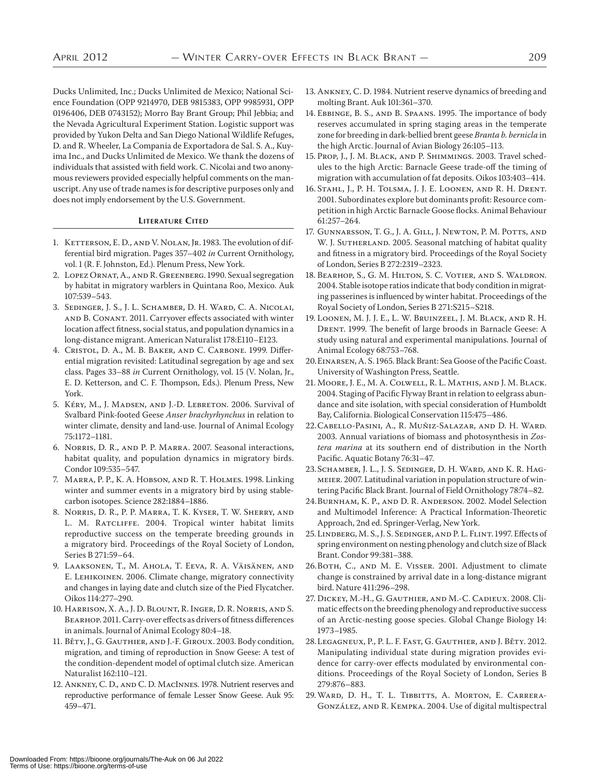Ducks Unlimited, Inc.; Ducks Unlimited de Mexico; National Science Foundation (OPP 9214970, DEB 9815383, OPP 9985931, OPP 0196406, DEB 0743152); Morro Bay Brant Group; Phil Jebbia; and the Nevada Agricultural Experiment Station. Logistic support was provided by Yukon Delta and San Diego National Wildlife Refuges, D. and R. Wheeler, La Compania de Exportadora de Sal. S. A., Kuyima Inc., and Ducks Unlimited de Mexico. We thank the dozens of individuals that assisted with field work. C. Nicolai and two anonymous reviewers provided especially helpful comments on the manuscript. Any use of trade names is for descriptive purposes only and does not imply endorsement by the U.S. Government.

#### **LITERATURE CITED**

- 1. KETTERSON, E.D., AND V. NOLAN, JR. 1983. The evolution of differential bird migration. Pages 357-402 in Current Ornithology, vol. (R. F. Johnston, Ed.). Plenum Press, New York.
- 2. LOPEZ ORNAT, A., AND R. GREENBERG. 1990. Sexual segregation by habitat in migratory warblers in Quintana Roo, Mexico. Auk 107:539-543.
- . Sedinger, J. S., J. L. Schamber, D. H. Ward, C. A. Nicolai, AND B. CONANT. 2011. Carryover effects associated with winter location affect fitness, social status, and population dynamics in a long-distance migrant. American Naturalist 178:E110-E123.
- 4. Cristol, D. A., M. B. BAKER, AND C. CARBONE. 1999. Differential migration revisited: Latitudinal segregation by age and sex class. Pages 33-88 in Current Ornithology, vol. 15 (V. Nolan, Jr., E. D. Ketterson, and C. F. Thompson, Eds.). Plenum Press, New York.
- 5. KÉRY, M., J. MADSEN, AND J.-D. LEBRETON. 2006. Survival of Svalbard Pink-footed Geese *Anser brachyrhynchus* in relation to winter climate, density and land-use. Journal of Animal Ecology 75:1172-1181.
- 6. NORRIS, D. R., AND P. P. MARRA. 2007. Seasonal interactions, habitat quality, and population dynamics in migratory birds. Condor 109:535-547.
- 7. MARRA, P. P., K. A. HOBSON, AND R. T. HOLMES. 1998. Linking winter and summer events in a migratory bird by using stablecarbon isotopes. Science 282:1884-1886.
- . Norris, D. R., P. P. Marra, T. K. Kyser, T. W. Sherry, and L. M. RATCLIFFE. 2004. Tropical winter habitat limits reproductive success on the temperate breeding grounds in a migratory bird. Proceedings of the Royal Society of London, Series B 271:59-64.
- . Laaksonen, T., M. Ahola, T. Eeva, R. A. Väisänen, and E. LEHIKOINEN. 2006. Climate change, migratory connectivity and changes in laying date and clutch size of the Pied Flycatcher. Oikos 114:277-290.
- . Harrison, X. A., J. D. Blount, R. Inger, D. R. Norris, and S. BEARHOP. 2011. Carry-over effects as drivers of fitness differences in animals. Journal of Animal Ecology 80:4-18.
- 11. Bêty, J., G. GAUTHIER, AND J.-F. GIROUX. 2003. Body condition, migration, and timing of reproduction in Snow Geese: A test of the condition-dependent model of optimal clutch size. American Naturalist 162:110-121.
- 12. ANKNEY, C. D., AND C. D. MACINNES. 1978. Nutrient reserves and reproductive performance of female Lesser Snow Geese. Auk 95: 459-471.
- 13. ANKNEY, C. D. 1984. Nutrient reserve dynamics of breeding and molting Brant. Auk 101:361-370.
- 14. EBBINGE, B. S., AND B. SPAANS. 1995. The importance of body reserves accumulated in spring staging areas in the temperate zone for breeding in dark-bellied brent geese *Branta b. bernicla* in the high Arctic. Journal of Avian Biology 26:105-113.
- 15. Prop, J., J. M. BLACK, AND P. SHIMMINGS. 2003. Travel schedules to the high Arctic: Barnacle Geese trade-off the timing of migration with accumulation of fat deposits. Oikos 103:403-414.
- . Stahl, J., P. H. Tolsma, J. J. E. Loonen, and R. H. Drent. 2001. Subordinates explore but dominants profit: Resource competition in high Arctic Barnacle Goose flocks. Animal Behaviour 61:257-264.
- . Gunnarsson, T. G., J. A. Gill, J. Newton, P. M. Potts, and W. J. SUTHERLAND. 2005. Seasonal matching of habitat quality and fitness in a migratory bird. Proceedings of the Royal Society of London, Series B 272:2319-2323.
- . Bearhop, S., G. M. Hilton, S. C. Votier, and S. Waldron. 2004. Stable isotope ratios indicate that body condition in migrating passerines is influenced by winter habitat. Proceedings of the Royal Society of London, Series B 271:S215-S218.
- . Loonen, M. J. J. E., L. W. Bruinzeel, J. M. Black, and R. H. DRENT. 1999. The benefit of large broods in Barnacle Geese: A study using natural and experimental manipulations. Journal of Animal Ecology 68:753-768.
- 20. EINARSEN, A. S. 1965. Black Brant: Sea Goose of the Pacific Coast. University of Washington Press, Seattle.
- . Moore, J. E., M. A. Colwell, R. L. Mathis, and J. M. Black. 2004. Staging of Pacific Flyway Brant in relation to eelgrass abundance and site isolation, with special consideration of Humboldt Bay, California. Biological Conservation 115:475-486.
- . Cabello-Pasini, A., R. Muñiz-Salazar, and D. H. Ward. . Annual variations of biomass and photosynthesis in *Zostera marina* at its southern end of distribution in the North Pacific. Aquatic Botany 76:31-47.
- 23. SCHAMBER, J. L., J. S. SEDINGER, D. H. WARD, AND K. R. HAGmeier. 2007. Latitudinal variation in population structure of wintering Pacific Black Brant. Journal of Field Ornithology 78:74-82.
- 24. BURNHAM, K. P., AND D. R. ANDERSON. 2002. Model Selection and Multimodel Inference: A Practical Information-Theoretic Approach, 2nd ed. Springer-Verlag, New York.
- 25. LINDBERG, M. S., J. S. SEDINGER, AND P. L. FLINT. 1997. Effects of spring environment on nesting phenology and clutch size of Black Brant. Condor 99:381-388.
- 26. BOTH, C., AND M. E. VISSER. 2001. Adjustment to climate change is constrained by arrival date in a long-distance migrant bird. Nature 411:296-298.
- 27. DICKEY, M.-H., G. GAUTHIER, AND M.-C. CADIEUX. 2008. Climatic effects on the breeding phenology and reproductive success of an Arctic-nesting goose species. Global Change Biology 14: 1973-1985.
- 28. Legagneux, P., P. L. F. Fast, G. Gauthier, and J. Bêty. 2012. Manipulating individual state during migration provides evidence for carry-over effects modulated by environmental conditions. Proceedings of the Royal Society of London, Series B 279:876-883.
- . Ward, D. H., T. L. Tibbitts, A. Morton, E. Carrera-GONZÁLEZ, AND R. KEMPKA. 2004. Use of digital multispectral